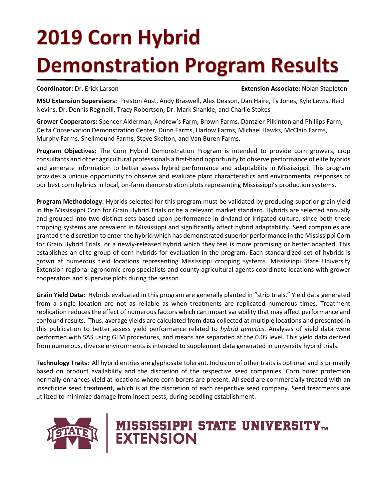## **2019 Corn Hybrid Demonstration Program Results**

**Coordinator:** Dr. Erick Larson **Extension Associate:** Nolan Stapleton

**MSU Extension Supervisors:** Preston Aust, Andy Braswell, Alex Deason, Dan Haire, Ty Jones, Kyle Lewis, Reid Nevins, Dr. Dennis Reginelli, Tracy Robertson, Dr. Mark Shankle, and Charlie Stokes

**Grower Cooperators:** Spencer Alderman, Andrew's Farm, Brown Farms, Dantzler Pilkinton and Phillips Farm, Delta Conservation Demonstration Center, Dunn Farms, Harlow Farms, Michael Hawks, McClain Farms, Murphy Farms, Shellmound Farms, Steve Skelton, and Van Buren Farms.

**Program Objectives:** The Corn Hybrid Demonstration Program is intended to provide corn growers, crop consultants and other agricultural professionals a first-hand opportunity to observe performance of elite hybrids and generate information to better assess hybrid performance and adaptability in Mississippi. This program provides a unique opportunity to observe and evaluate plant characteristics and environmental responses of our best corn hybrids in local, on-farm demonstration plots representing Mississippi's production systems.

**Program Methodology:** Hybrids selected for this program must be validated by producing superior grain yield in the Mississippi Corn for Grain Hybrid Trials or be a relevant market standard. Hybrids are selected annually and grouped into two distinct sets based upon performance in dryland or irrigated culture, since both these cropping systems are prevalent in Mississippi and significantly affect hybrid adaptability. Seed companies are granted the discretion to enter the hybrid which has demonstrated superior performance in the Mississippi Corn for Grain Hybrid Trials, or a newly-released hybrid which they feel is more promising or better adapted. This establishes an elite group of corn hybrids for evaluation in the program. Each standardized set of hybrids is grown at numerous field locations representing Mississippi cropping systems. Mississippi State University Extension regional agronomic crop specialists and county agricultural agents coordinate locations with grower cooperators and supervise plots during the season.

**Grain Yield Data:** Hybrids evaluated in this program are generally planted in "strip trials." Yield data generated from a single location are not as reliable as when treatments are replicated numerous times. Treatment replication reduces the effect of numerous factors which can impart variability that may affect performance and confound results. Thus, average yields are calculated from data collected at multiple locations and presented in this publication to better assess yield performance related to *hybrid genetics*. Analyses of yield data were performed with SAS using GLM procedures, and means are separated at the 0.05 level. This yield data derived from numerous, diverse environments is intended to supplement data generated in university hybrid trials.

**Technology Traits:** All hybrid entries are glyphosate tolerant. Inclusion of other traits is optional and is primarily based on product availability and the discretion of the respective seed companies. Corn borer protection normally enhances yield at locations where corn borers are present. All seed are commercially treated with an insecticide seed treatment, which is at the discretion of each respective seed company. Seed treatments are utilized to minimize damage from insect pests, during seedling establishment.



# **MISSISSIPPI STATE UNIVERSITY<sub>TM</sub>**<br>EXTENSION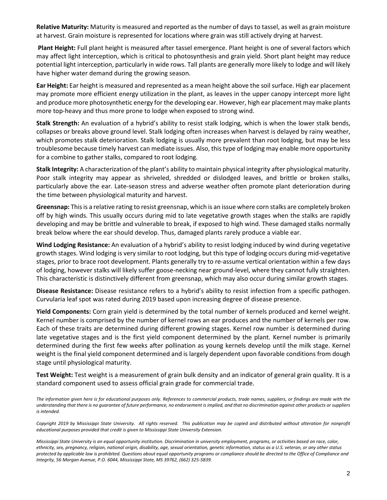**Relative Maturity:** Maturity is measured and reported as the number of days to tassel, as well as grain moisture at harvest. Grain moisture is represented for locations where grain was still actively drying at harvest.

**Plant Height:** Full plant height is measured after tassel emergence. Plant height is one of several factors which may affect light interception, which is critical to photosynthesis and grain yield. Short plant height may reduce potential light interception, particularly in wide rows. Tall plants are generally more likely to lodge and will likely have higher water demand during the growing season.

**Ear Height:** Ear height is measured and represented as a mean height above the soil surface. High ear placement may promote more efficient energy utilization in the plant, as leaves in the upper canopy intercept more light and produce more photosynthetic energy for the developing ear. However, high ear placement may make plants more top-heavy and thus more prone to lodge when exposed to strong wind.

**Stalk Strength:** An evaluation of a hybrid's ability to resist stalk lodging, which is when the lower stalk bends, collapses or breaks above ground level. Stalk lodging often increases when harvest is delayed by rainy weather, which promotes stalk deterioration. Stalk lodging is usually more prevalent than root lodging, but may be less troublesome because timely harvest can mediate issues. Also, this type of lodging may enable more opportunity for a combine to gather stalks, compared to root lodging.

**Stalk Integrity:** A characterization of the plant's ability to maintain physical integrity after physiological maturity. Poor stalk integrity may appear as shriveled, shredded or dislodged leaves, and brittle or broken stalks, particularly above the ear. Late-season stress and adverse weather often promote plant deterioration during the time between physiological maturity and harvest.

**Greensnap:** This is a relative rating to resist greensnap, which is an issue where corn stalks are completely broken off by high winds. This usually occurs during mid to late vegetative growth stages when the stalks are rapidly developing and may be brittle and vulnerable to break, if exposed to high wind. These damaged stalks normally break below where the ear should develop. Thus, damaged plants rarely produce a viable ear.

**Wind Lodging Resistance:** An evaluation of a hybrid's ability to resist lodging induced by wind during vegetative growth stages. Wind lodging is very similar to root lodging, but this type of lodging occurs during mid-vegetative stages, prior to brace root development. Plants generally try to re-assume vertical orientation within a few days of lodging, however stalks will likely suffer goose-necking near ground-level, where they cannot fully straighten. This characteristic is distinctively different from greensnap, which may also occur during similar growth stages.

**Disease Resistance:** Disease resistance refers to a hybrid's ability to resist infection from a specific pathogen. Curvularia leaf spot was rated during 2019 based upon increasing degree of disease presence.

**Yield Components:** Corn grain yield is determined by the total number of kernels produced and kernel weight. Kernel number is comprised by the number of kernel rows an ear produces and the number of kernels per row. Each of these traits are determined during different growing stages. Kernel row number is determined during late vegetative stages and is the first yield component determined by the plant. Kernel number is primarily determined during the first few weeks after pollination as young kernels develop until the milk stage. Kernel weight is the final yield component determined and is largely dependent upon favorable conditions from dough stage until physiological maturity.

**Test Weight:** Test weight is a measurement of grain bulk density and an indicator of general grain quality. It is a standard component used to assess official grain grade for commercial trade.

*The information given here is for educational purposes only. References to commercial products, trade names, suppliers, or findings are made with the understanding that there is no guarantee of future performance, no endorsement is implied, and that no discrimination against other products or suppliers is intended.*

*Copyright 2019 by Mississippi State University. All rights reserved. This publication may be copied and distributed without alteration for nonprofit educational purposes provided that credit is given to Mississippi State University Extension.*

*Mississippi State University is an equal opportunity institution. Discrimination in university employment, programs, or activities based on race, color, ethnicity, sex, pregnancy, religion, national origin, disability, age, sexual orientation, genetic information, status as a U.S. veteran, or any other status protected by applicable law is prohibited. Questions about equal opportunity programs or compliance should be directed to the Office of Compliance and Integrity, 56 Morgan Avenue, P.O. 6044, Mississippi State, MS 39762, (662) 325-5839.*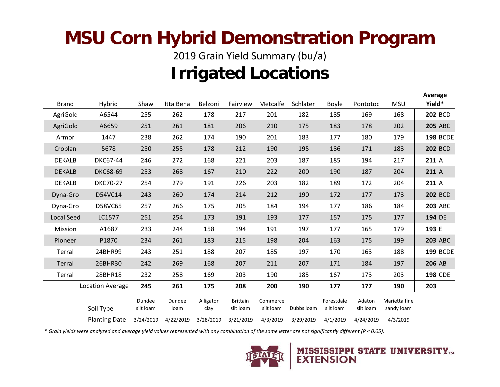### **MSU Corn Hybrid Demonstration Program**

2019 Grain Yield Summary (bu/a) **Irrigated Locations**

|  |                   |                         |                     |                |                   |                              |                       |            |                         |                     |                             | Average         |
|--|-------------------|-------------------------|---------------------|----------------|-------------------|------------------------------|-----------------------|------------|-------------------------|---------------------|-----------------------------|-----------------|
|  | <b>Brand</b>      | Hybrid                  | Shaw                | Itta Bena      | Belzoni           | Fairview                     | Metcalfe              | Schlater   | <b>Boyle</b>            | Pontotoc            | <b>MSU</b>                  | Yield*          |
|  | AgriGold          | A6544                   | 255                 | 262            | 178               | 217                          | 201                   | 182        | 185                     | 169                 | 168                         | <b>202 BCD</b>  |
|  | AgriGold          | A6659                   | 251                 | 261            | 181               | 206                          | 210                   | 175        | 183                     | 178                 | 202                         | <b>205 ABC</b>  |
|  | Armor             | 1447                    | 238                 | 262            | 174               | 190                          | 201                   | 183        | 177                     | 180                 | 179                         | <b>198 BCDE</b> |
|  | Croplan           | 5678                    | 250                 | 255            | 178               | 212                          | 190                   | 195        | 186                     | 171                 | 183                         | <b>202 BCD</b>  |
|  | <b>DEKALB</b>     | <b>DKC67-44</b>         | 246                 | 272            | 168               | 221                          | 203                   | 187        | 185                     | 194                 | 217                         | 211 A           |
|  | <b>DEKALB</b>     | <b>DKC68-69</b>         | 253                 | 268            | 167               | 210                          | 222                   | 200        | 190                     | 187                 | 204                         | 211 A           |
|  | <b>DEKALB</b>     | <b>DKC70-27</b>         | 254                 | 279            | 191               | 226                          | 203                   | 182        | 189                     | 172                 | 204                         | 211 A           |
|  | Dyna-Gro          | D54VC14                 | 243                 | 260            | 174               | 214                          | 212                   | 190        | 172                     | 177                 | 173                         | <b>202 BCD</b>  |
|  | Dyna-Gro          | D58VC65                 | 257                 | 266            | 175               | 205                          | 184                   | 194        | 177                     | 186                 | 184                         | <b>203 ABC</b>  |
|  | <b>Local Seed</b> | LC1577                  | 251                 | 254            | 173               | 191                          | 193                   | 177        | 157                     | 175                 | 177                         | 194 DE          |
|  | Mission           | A1687                   | 233                 | 244            | 158               | 194                          | 191                   | 197        | 177                     | 165                 | 179                         | 193 E           |
|  | Pioneer           | P1870                   | 234                 | 261            | 183               | 215                          | 198                   | 204        | 163                     | 175                 | 199                         | <b>203 ABC</b>  |
|  | Terral            | 24BHR99                 | 243                 | 251            | 188               | 207                          | 185                   | 197        | 170                     | 163                 | 188                         | <b>199 BCDE</b> |
|  | Terral            | 26BHR30                 | 242                 | 269            | 168               | 207                          | 211                   | 207        | 171                     | 184                 | 197                         | 206 AB          |
|  | Terral            | 28BHR18                 | 232                 | 258            | 169               | 203                          | 190                   | 185        | 167                     | 173                 | 203                         | <b>198 CDE</b>  |
|  |                   | <b>Location Average</b> | 245                 | 261            | 175               | 208                          | 200                   | 190        | 177                     | 177                 | 190                         | 203             |
|  |                   | Soil Type               | Dundee<br>silt loam | Dundee<br>loam | Alligator<br>clay | <b>Brittain</b><br>silt loam | Commerce<br>silt loam | Dubbs loam | Forestdale<br>silt loam | Adaton<br>silt loam | Marietta fine<br>sandy loam |                 |
|  |                   | <b>Planting Date</b>    | 3/24/2019           | 4/22/2019      | 3/28/2019         | 3/21/2019                    | 4/3/2019              | 3/29/2019  | 4/1/2019                | 4/24/2019           | 4/3/2019                    |                 |

*\* Grain yields were analyzed and average yield values represented with any combination of the same letter are not significantly different (P < 0.05).*

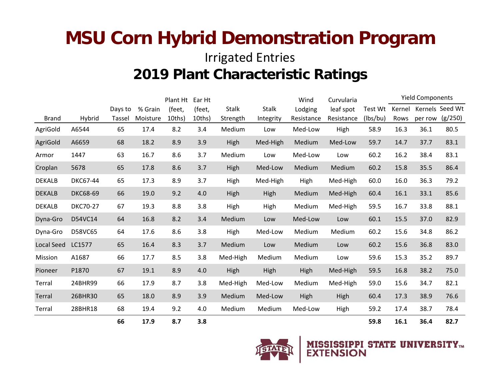#### **MSU Corn Hybrid Demonstration Program** Irrigated Entries **2019 Plant Characteristic Ratings**

|               |                 | Plant Ht Ear Ht |          |           |        |              |              | Wind<br>Curvularia |            | <b>Yield Components</b> |        |         |                 |
|---------------|-----------------|-----------------|----------|-----------|--------|--------------|--------------|--------------------|------------|-------------------------|--------|---------|-----------------|
|               |                 | Days to         | % Grain  | (feet,    | (feet, | <b>Stalk</b> | <b>Stalk</b> | Lodging            | leaf spot  | Test Wt                 | Kernel |         | Kernels Seed Wt |
| <b>Brand</b>  | Hybrid          | Tassel          | Moisture | $10$ ths) | 10ths) | Strength     | Integrity    | Resistance         | Resistance | (lbs/bu)                | Rows   | per row | (g/250)         |
| AgriGold      | A6544           | 65              | 17.4     | 8.2       | 3.4    | Medium       | Low          | Med-Low            | High       | 58.9                    | 16.3   | 36.1    | 80.5            |
| AgriGold      | A6659           | 68              | 18.2     | 8.9       | 3.9    | High         | Med-High     | Medium             | Med-Low    | 59.7                    | 14.7   | 37.7    | 83.1            |
| Armor         | 1447            | 63              | 16.7     | 8.6       | 3.7    | Medium       | Low          | Med-Low            | Low        | 60.2                    | 16.2   | 38.4    | 83.1            |
| Croplan       | 5678            | 65              | 17.8     | 8.6       | 3.7    | High         | Med-Low      | Medium             | Medium     | 60.2                    | 15.8   | 35.5    | 86.4            |
| <b>DEKALB</b> | <b>DKC67-44</b> | 65              | 17.3     | 8.9       | 3.7    | High         | Med-High     | High               | Med-High   | 60.0                    | 16.0   | 36.3    | 79.2            |
| <b>DEKALB</b> | <b>DKC68-69</b> | 66              | 19.0     | 9.2       | 4.0    | High         | High         | Medium             | Med-High   | 60.4                    | 16.1   | 33.1    | 85.6            |
| <b>DEKALB</b> | <b>DKC70-27</b> | 67              | 19.3     | 8.8       | 3.8    | High         | High         | Medium             | Med-High   | 59.5                    | 16.7   | 33.8    | 88.1            |
| Dyna-Gro      | D54VC14         | 64              | 16.8     | 8.2       | 3.4    | Medium       | Low          | Med-Low            | Low        | 60.1                    | 15.5   | 37.0    | 82.9            |
| Dyna-Gro      | D58VC65         | 64              | 17.6     | 8.6       | 3.8    | High         | Med-Low      | Medium             | Medium     | 60.2                    | 15.6   | 34.8    | 86.2            |
| Local Seed    | LC1577          | 65              | 16.4     | 8.3       | 3.7    | Medium       | Low          | Medium             | Low        | 60.2                    | 15.6   | 36.8    | 83.0            |
| Mission       | A1687           | 66              | 17.7     | 8.5       | 3.8    | Med-High     | Medium       | Medium             | Low        | 59.6                    | 15.3   | 35.2    | 89.7            |
| Pioneer       | P1870           | 67              | 19.1     | 8.9       | 4.0    | High         | High         | High               | Med-High   | 59.5                    | 16.8   | 38.2    | 75.0            |
| Terral        | 24BHR99         | 66              | 17.9     | 8.7       | 3.8    | Med-High     | Med-Low      | Medium             | Med-High   | 59.0                    | 15.6   | 34.7    | 82.1            |
| Terral        | 26BHR30         | 65              | 18.0     | 8.9       | 3.9    | Medium       | Med-Low      | High               | High       | 60.4                    | 17.3   | 38.9    | 76.6            |
| Terral        | 28BHR18         | 68              | 19.4     | 9.2       | 4.0    | Medium       | Medium       | Med-Low            | High       | 59.2                    | 17.4   | 38.7    | 78.4            |
|               |                 | 66              | 17.9     | 8.7       | 3.8    |              |              |                    |            | 59.8                    | 16.1   | 36.4    | 82.7            |

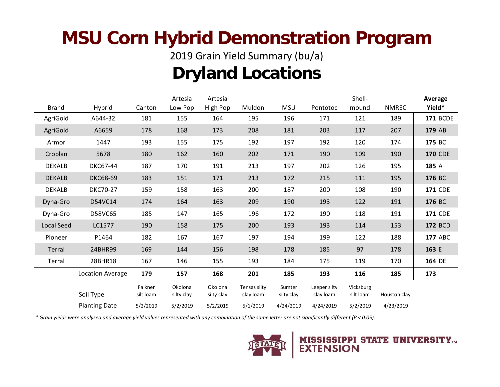### **MSU Corn Hybrid Demonstration Program**

2019 Grain Yield Summary (bu/a)

#### **Dryland Locations**

|               |                         | Artesia              | Artesia               |                       |                           | Shell-               | Average                   |                        |              |                 |
|---------------|-------------------------|----------------------|-----------------------|-----------------------|---------------------------|----------------------|---------------------------|------------------------|--------------|-----------------|
| <b>Brand</b>  | Hybrid                  | Canton               | Low Pop               | High Pop              | Muldon                    | <b>MSU</b>           | Pontotoc                  | mound                  | <b>NMREC</b> | Yield*          |
| AgriGold      | A644-32                 | 181                  | 155                   | 164                   | 195                       | 196                  | 171                       | 121                    | 189          | <b>171 BCDE</b> |
| AgriGold      | A6659                   | 178                  | 168                   | 173                   | 208                       | 181                  | 203                       | 117                    | 207          | 179 AB          |
| Armor         | 1447                    | 193                  | 155                   | 175                   | 192                       | 197                  | 192                       | 120                    | 174          | 175 BC          |
| Croplan       | 5678                    | 180                  | 162                   | 160                   | 202                       | 171                  | 190                       | 109                    | 190          | <b>170 CDE</b>  |
| <b>DEKALB</b> | DKC67-44                | 187                  | 170                   | 191                   | 213                       | 197                  | 202                       | 126                    | 195          | 185 A           |
| <b>DEKALB</b> | <b>DKC68-69</b>         | 183                  | 151                   | 171                   | 213                       | 172                  | 215                       | 111                    | 195          | 176 BC          |
| <b>DEKALB</b> | <b>DKC70-27</b>         | 159                  | 158                   | 163                   | 200                       | 187                  | 200                       | 108                    | 190          | <b>171 CDE</b>  |
| Dyna-Gro      | D54VC14                 | 174                  | 164                   | 163                   | 209                       | 190                  | 193                       | 122                    | 191          | 176 BC          |
| Dyna-Gro      | D58VC65                 | 185                  | 147                   | 165                   | 196                       | 172                  | 190                       | 118                    | 191          | <b>171 CDE</b>  |
| Local Seed    | LC1577                  | 190                  | 158                   | 175                   | 200                       | 193                  | 193                       | 114                    | 153          | <b>172 BCD</b>  |
| Pioneer       | P1464                   | 182                  | 167                   | 167                   | 197                       | 194                  | 199                       | 122                    | 188          | <b>177 ABC</b>  |
| Terral        | 24BHR99                 | 169                  | 144                   | 156                   | 198                       | 178                  | 185                       | 97                     | 178          | 163 E           |
| Terral        | 28BHR18                 | 167                  | 146                   | 155                   | 193                       | 184                  | 175                       | 119                    | 170          | 164 DE          |
|               | <b>Location Average</b> | 179                  | 157                   | 168                   | 201                       | 185                  | 193                       | 116                    | 185          | 173             |
|               | Soil Type               | Falkner<br>silt loam | Okolona<br>silty clay | Okolona<br>silty clay | Tensas silty<br>clay loam | Sumter<br>silty clay | Leeper silty<br>clay loam | Vicksburg<br>silt loam | Houston clay |                 |
|               | <b>Planting Date</b>    | 5/2/2019             | 5/2/2019              | 5/2/2019              | 5/1/2019                  | 4/24/2019            | 4/24/2019                 | 5/2/2019               | 4/23/2019    |                 |

*\* Grain yields were analyzed and average yield values represented with any combination of the same letter are not significantly different (P < 0.05).*